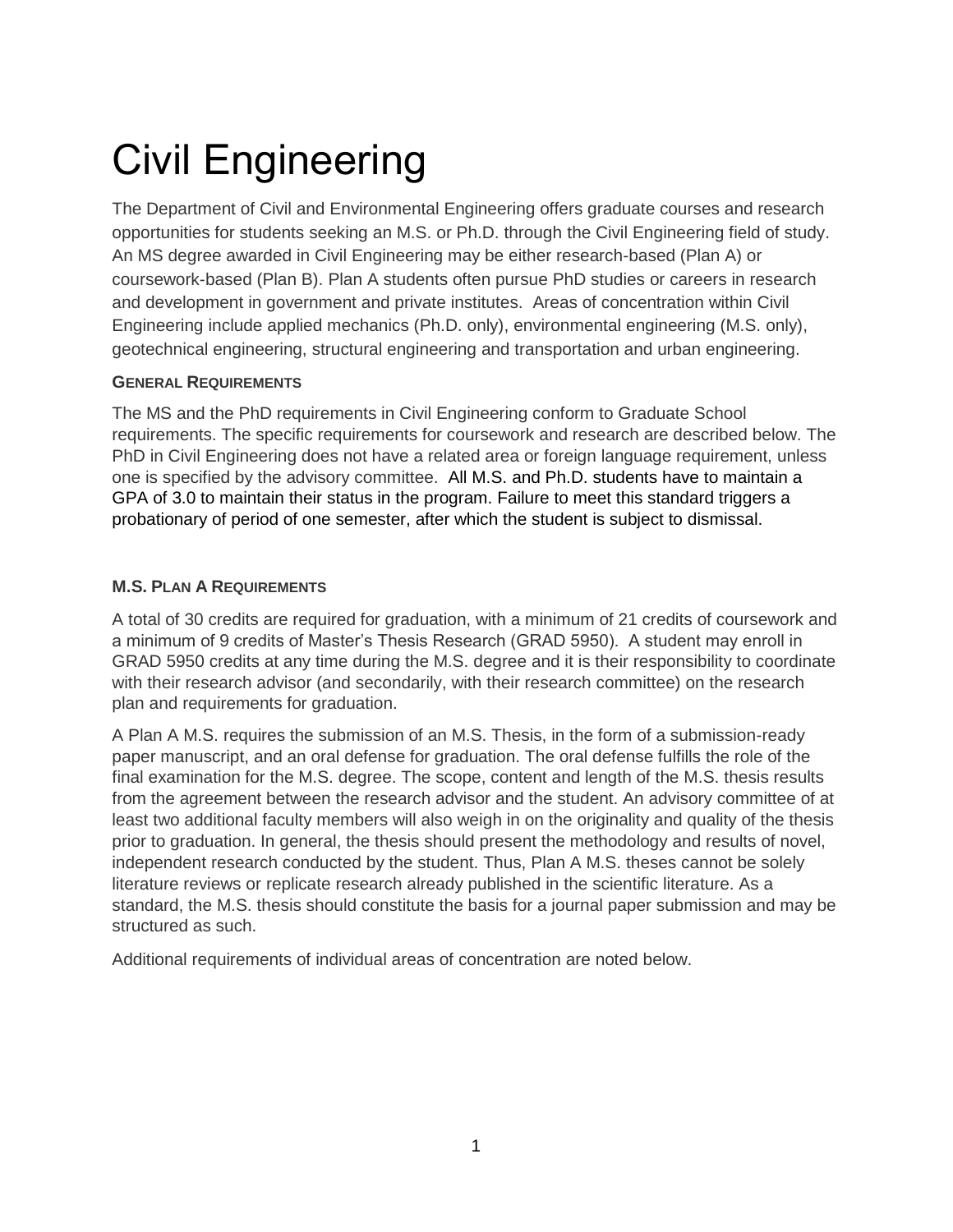# Civil Engineering

The Department of Civil and Environmental Engineering offers graduate courses and research opportunities for students seeking an M.S. or Ph.D. through the Civil Engineering field of study. An MS degree awarded in Civil Engineering may be either research-based (Plan A) or coursework-based (Plan B). Plan A students often pursue PhD studies or careers in research and development in government and private institutes. Areas of concentration within Civil Engineering include applied mechanics (Ph.D. only), environmental engineering (M.S. only), geotechnical engineering, structural engineering and transportation and urban engineering.

# **GENERAL REQUIREMENTS**

The MS and the PhD requirements in Civil Engineering conform to Graduate School requirements. The specific requirements for coursework and research are described below. The PhD in Civil Engineering does not have a related area or foreign language requirement, unless one is specified by the advisory committee. All M.S. and Ph.D. students have to maintain a GPA of 3.0 to maintain their status in the program. Failure to meet this standard triggers a probationary of period of one semester, after which the student is subject to dismissal.

## **M.S. PLAN A REQUIREMENTS**

A total of 30 credits are required for graduation, with a minimum of 21 credits of coursework and a minimum of 9 credits of Master's Thesis Research (GRAD 5950). A student may enroll in GRAD 5950 credits at any time during the M.S. degree and it is their responsibility to coordinate with their research advisor (and secondarily, with their research committee) on the research plan and requirements for graduation.

A Plan A M.S. requires the submission of an M.S. Thesis, in the form of a submission-ready paper manuscript, and an oral defense for graduation. The oral defense fulfills the role of the final examination for the M.S. degree. The scope, content and length of the M.S. thesis results from the agreement between the research advisor and the student. An advisory committee of at least two additional faculty members will also weigh in on the originality and quality of the thesis prior to graduation. In general, the thesis should present the methodology and results of novel, independent research conducted by the student. Thus, Plan A M.S. theses cannot be solely literature reviews or replicate research already published in the scientific literature. As a standard, the M.S. thesis should constitute the basis for a journal paper submission and may be structured as such.

Additional requirements of individual areas of concentration are noted below.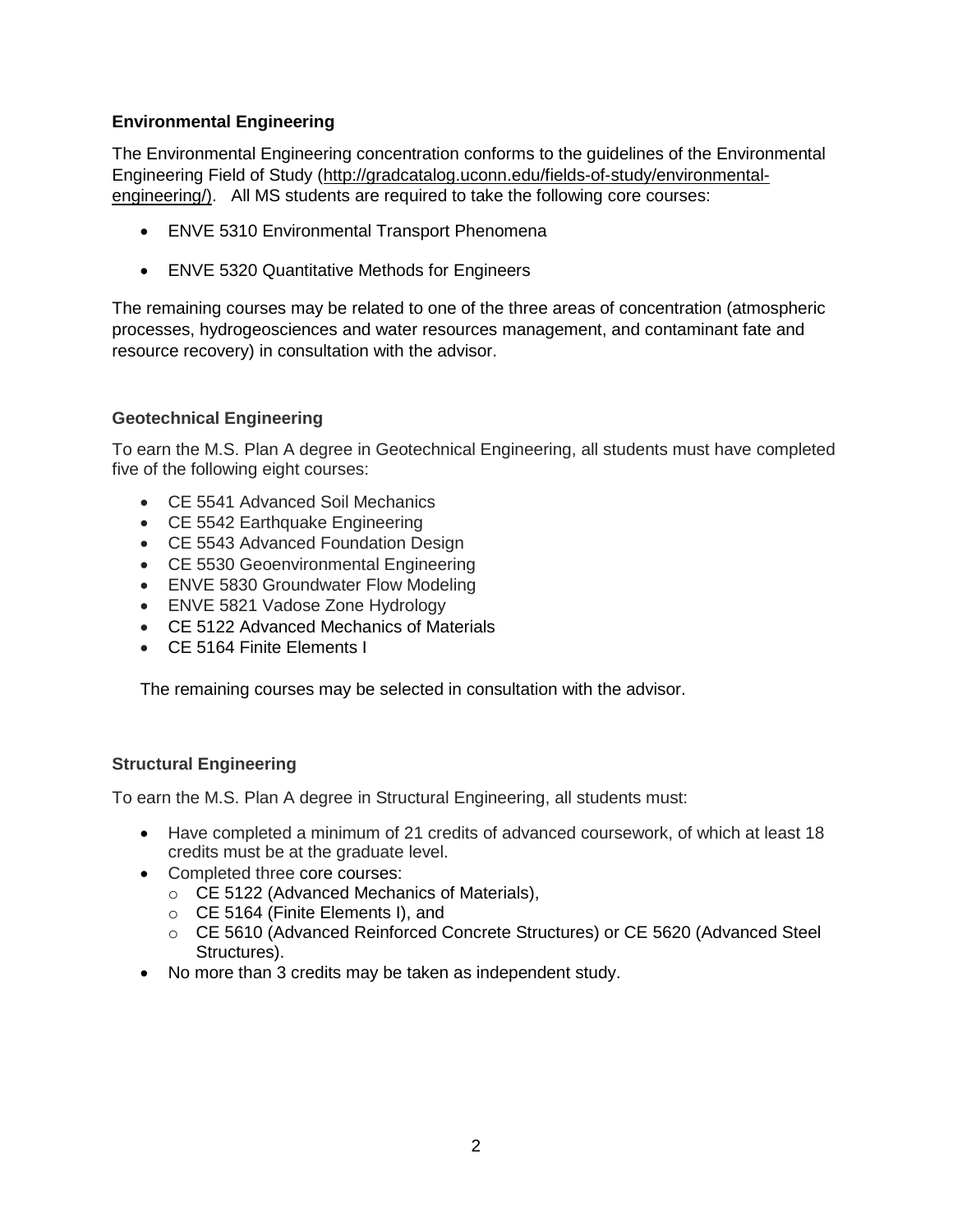## **Environmental Engineering**

The Environmental Engineering concentration conforms to the guidelines of the Environmental Engineering Field of Study [\(http://gradcatalog.uconn.edu/fields-of-study/environmental](http://gradcatalog.uconn.edu/fields-of-study/environmental-engineering/)[engineering/\)](http://gradcatalog.uconn.edu/fields-of-study/environmental-engineering/). All MS students are required to take the following core courses:

- ENVE 5310 Environmental Transport Phenomena
- ENVE 5320 Quantitative Methods for Engineers

The remaining courses may be related to one of the three areas of concentration (atmospheric processes, hydrogeosciences and water resources management, and contaminant fate and resource recovery) in consultation with the advisor.

## **Geotechnical Engineering**

To earn the M.S. Plan A degree in Geotechnical Engineering, all students must have completed five of the following eight courses:

- CE 5541 Advanced Soil Mechanics
- CE 5542 Earthquake Engineering
- CE 5543 Advanced Foundation Design
- CE 5530 Geoenvironmental Engineering
- ENVE 5830 Groundwater Flow Modeling
- ENVE 5821 Vadose Zone Hydrology
- CE 5122 Advanced Mechanics of Materials
- CE 5164 Finite Elements I

The remaining courses may be selected in consultation with the advisor.

#### **Structural Engineering**

To earn the M.S. Plan A degree in Structural Engineering, all students must:

- Have completed a minimum of 21 credits of advanced coursework, of which at least 18 credits must be at the graduate level.
- Completed three core courses:
	- o CE 5122 (Advanced Mechanics of Materials),
	- o CE 5164 (Finite Elements I), and
	- o CE 5610 (Advanced Reinforced Concrete Structures) or CE 5620 (Advanced Steel Structures).
- No more than 3 credits may be taken as independent study.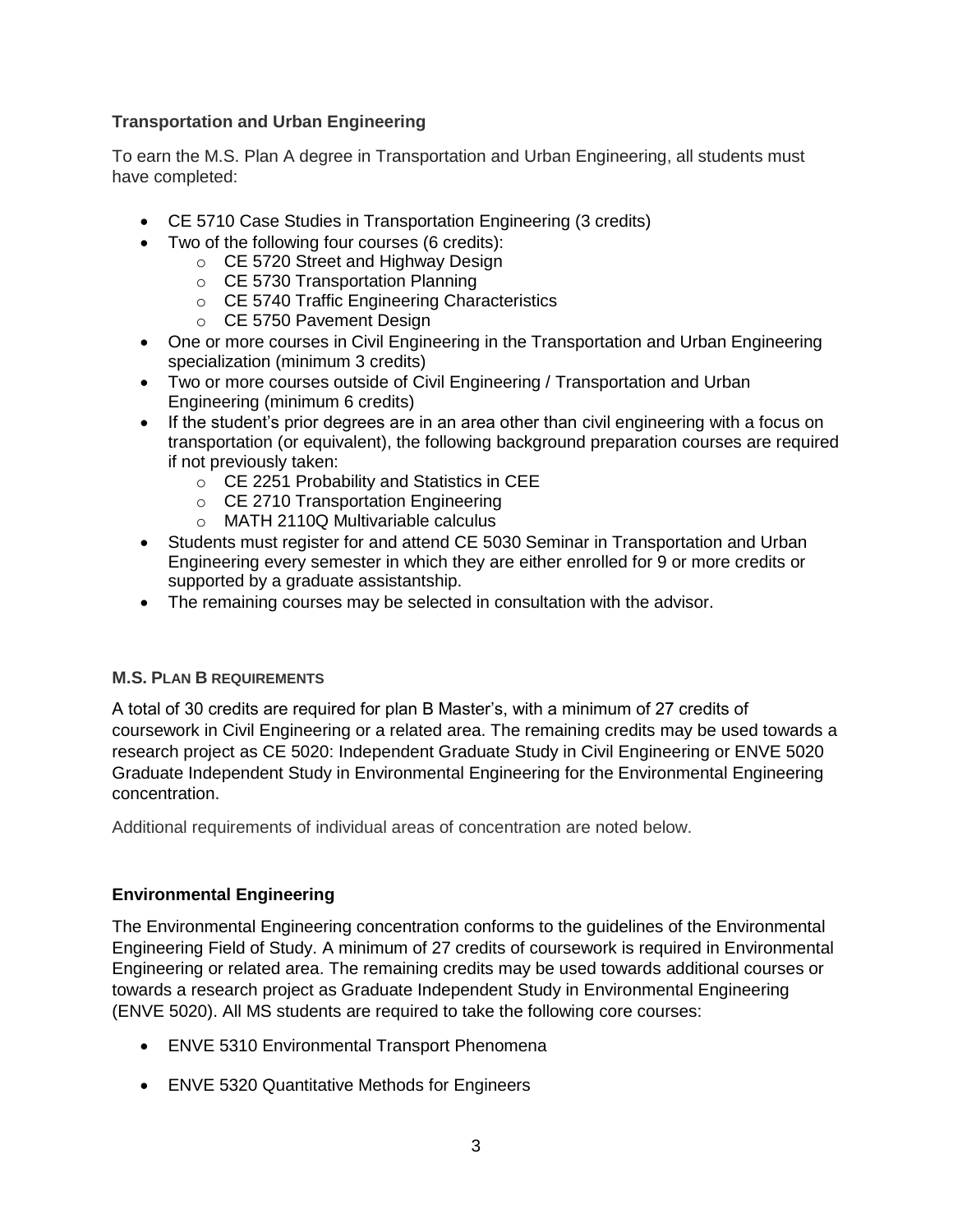# **Transportation and Urban Engineering**

To earn the M.S. Plan A degree in Transportation and Urban Engineering, all students must have completed:

- CE 5710 Case Studies in Transportation Engineering (3 credits)
- Two of the following four courses (6 credits):
	- o CE 5720 Street and Highway Design
	- o CE 5730 Transportation Planning
	- o CE 5740 Traffic Engineering Characteristics
	- o CE 5750 Pavement Design
- One or more courses in Civil Engineering in the Transportation and Urban Engineering specialization (minimum 3 credits)
- Two or more courses outside of Civil Engineering / Transportation and Urban Engineering (minimum 6 credits)
- If the student's prior degrees are in an area other than civil engineering with a focus on transportation (or equivalent), the following background preparation courses are required if not previously taken:
	- o CE 2251 Probability and Statistics in CEE
	- o CE 2710 Transportation Engineering
	- o MATH 2110Q Multivariable calculus
- Students must register for and attend CE 5030 Seminar in Transportation and Urban Engineering every semester in which they are either enrolled for 9 or more credits or supported by a graduate assistantship.
- The remaining courses may be selected in consultation with the advisor.

# **M.S. PLAN B REQUIREMENTS**

A total of 30 credits are required for plan B Master's, with a minimum of 27 credits of coursework in Civil Engineering or a related area. The remaining credits may be used towards a research project as CE 5020: Independent Graduate Study in Civil Engineering or ENVE 5020 Graduate Independent Study in Environmental Engineering for the Environmental Engineering concentration.

Additional requirements of individual areas of concentration are noted below.

# **Environmental Engineering**

The Environmental Engineering concentration conforms to the guidelines of the Environmental Engineering Field of Study. A minimum of 27 credits of coursework is required in Environmental Engineering or related area. The remaining credits may be used towards additional courses or towards a research project as Graduate Independent Study in Environmental Engineering (ENVE 5020). All MS students are required to take the following core courses:

- ENVE 5310 Environmental Transport Phenomena
- ENVE 5320 Quantitative Methods for Engineers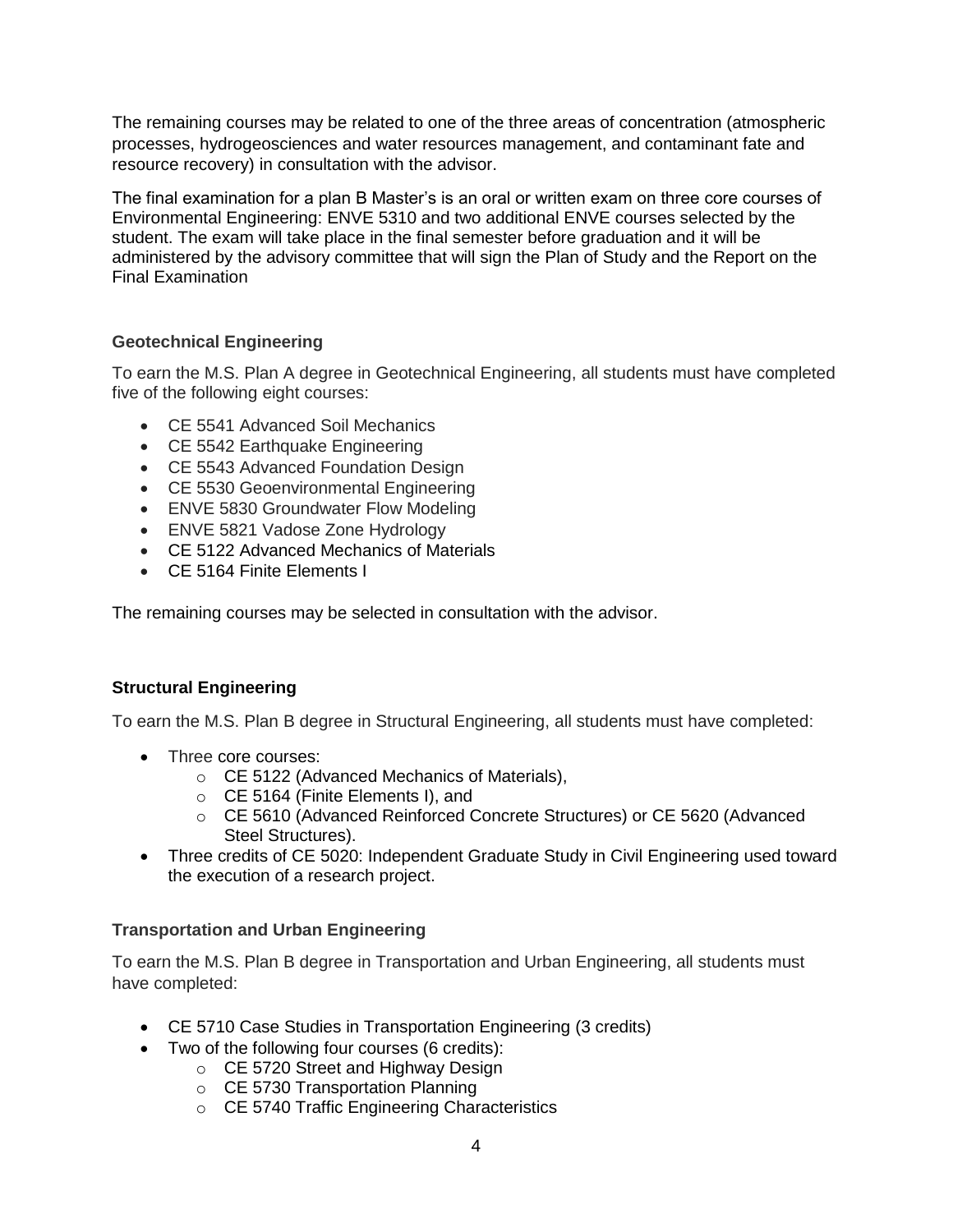The remaining courses may be related to one of the three areas of concentration (atmospheric processes, hydrogeosciences and water resources management, and contaminant fate and resource recovery) in consultation with the advisor.

The final examination for a plan B Master's is an oral or written exam on three core courses of Environmental Engineering: ENVE 5310 and two additional ENVE courses selected by the student. The exam will take place in the final semester before graduation and it will be administered by the advisory committee that will sign the Plan of Study and the Report on the Final Examination

# **Geotechnical Engineering**

To earn the M.S. Plan A degree in Geotechnical Engineering, all students must have completed five of the following eight courses:

- CE 5541 Advanced Soil Mechanics
- CE 5542 Earthquake Engineering
- CE 5543 Advanced Foundation Design
- CE 5530 Geoenvironmental Engineering
- ENVE 5830 Groundwater Flow Modeling
- ENVE 5821 Vadose Zone Hydrology
- CE 5122 Advanced Mechanics of Materials
- CE 5164 Finite Elements I

The remaining courses may be selected in consultation with the advisor.

#### **Structural Engineering**

To earn the M.S. Plan B degree in Structural Engineering, all students must have completed:

- Three core courses:
	- o CE 5122 (Advanced Mechanics of Materials),
	- o CE 5164 (Finite Elements I), and
	- o CE 5610 (Advanced Reinforced Concrete Structures) or CE 5620 (Advanced Steel Structures).
- Three credits of CE 5020: Independent Graduate Study in Civil Engineering used toward the execution of a research project.

#### **Transportation and Urban Engineering**

To earn the M.S. Plan B degree in Transportation and Urban Engineering, all students must have completed:

- CE 5710 Case Studies in Transportation Engineering (3 credits)
- Two of the following four courses (6 credits):
	- o CE 5720 Street and Highway Design
		- o CE 5730 Transportation Planning
		- o CE 5740 Traffic Engineering Characteristics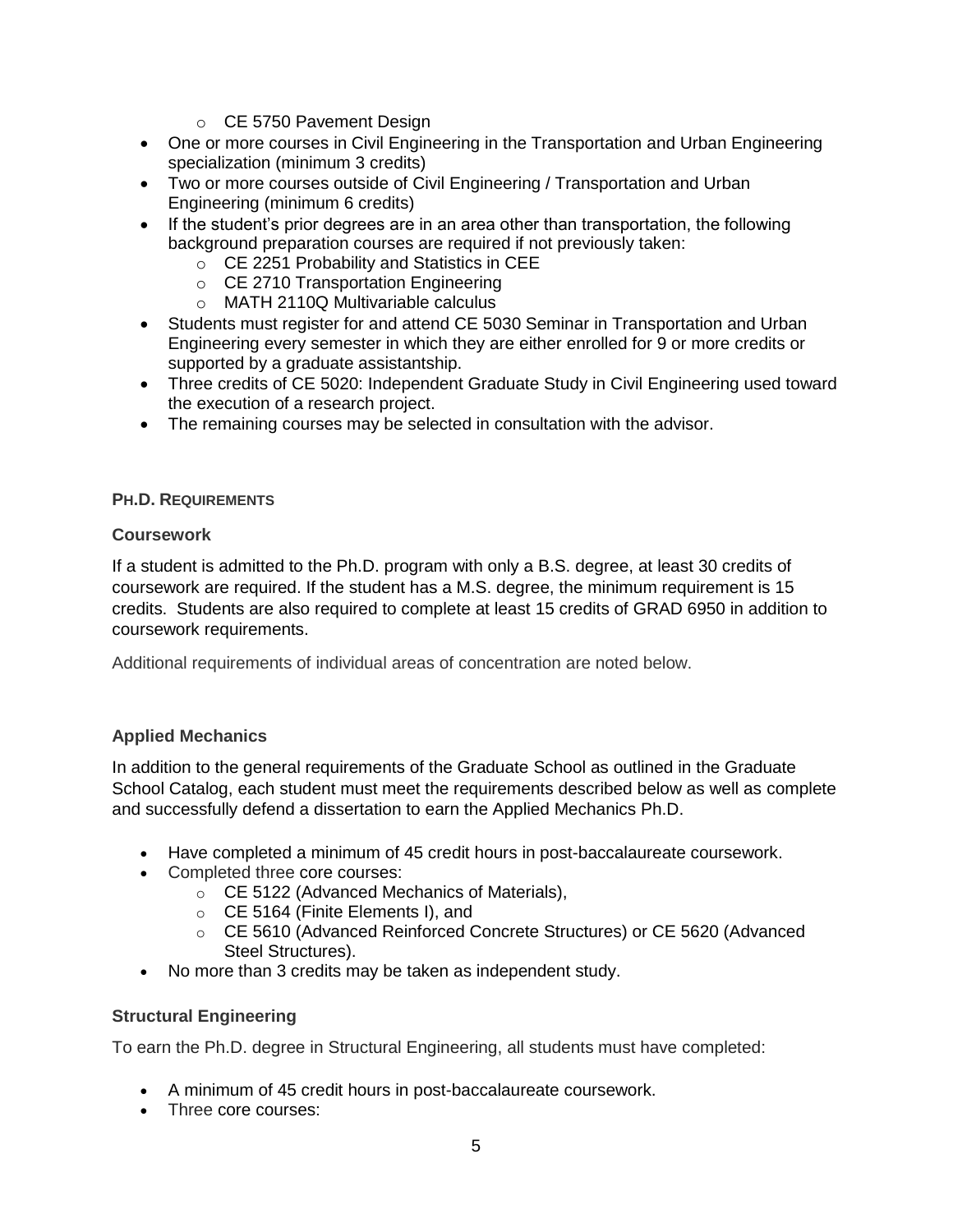- o CE 5750 Pavement Design
- One or more courses in Civil Engineering in the Transportation and Urban Engineering specialization (minimum 3 credits)
- Two or more courses outside of Civil Engineering / Transportation and Urban Engineering (minimum 6 credits)
- If the student's prior degrees are in an area other than transportation, the following background preparation courses are required if not previously taken:
	- o CE 2251 Probability and Statistics in CEE
	- o CE 2710 Transportation Engineering
	- o MATH 2110Q Multivariable calculus
- Students must register for and attend CE 5030 Seminar in Transportation and Urban Engineering every semester in which they are either enrolled for 9 or more credits or supported by a graduate assistantship.
- Three credits of CE 5020: Independent Graduate Study in Civil Engineering used toward the execution of a research project.
- The remaining courses may be selected in consultation with the advisor.

#### **PH.D. REQUIREMENTS**

#### **Coursework**

If a student is admitted to the Ph.D. program with only a B.S. degree, at least 30 credits of coursework are required. If the student has a M.S. degree, the minimum requirement is 15 credits. Students are also required to complete at least 15 credits of GRAD 6950 in addition to coursework requirements.

Additional requirements of individual areas of concentration are noted below.

#### **Applied Mechanics**

In addition to the general requirements of the Graduate School as outlined in the Graduate School Catalog, each student must meet the requirements described below as well as complete and successfully defend a dissertation to earn the Applied Mechanics Ph.D.

- Have completed a minimum of 45 credit hours in post-baccalaureate coursework.
- Completed three core courses:
	- o CE 5122 (Advanced Mechanics of Materials),
	- o CE 5164 (Finite Elements I), and
	- o CE 5610 (Advanced Reinforced Concrete Structures) or CE 5620 (Advanced Steel Structures).
- No more than 3 credits may be taken as independent study.

#### **Structural Engineering**

To earn the Ph.D. degree in Structural Engineering, all students must have completed:

- A minimum of 45 credit hours in post-baccalaureate coursework.
- Three core courses: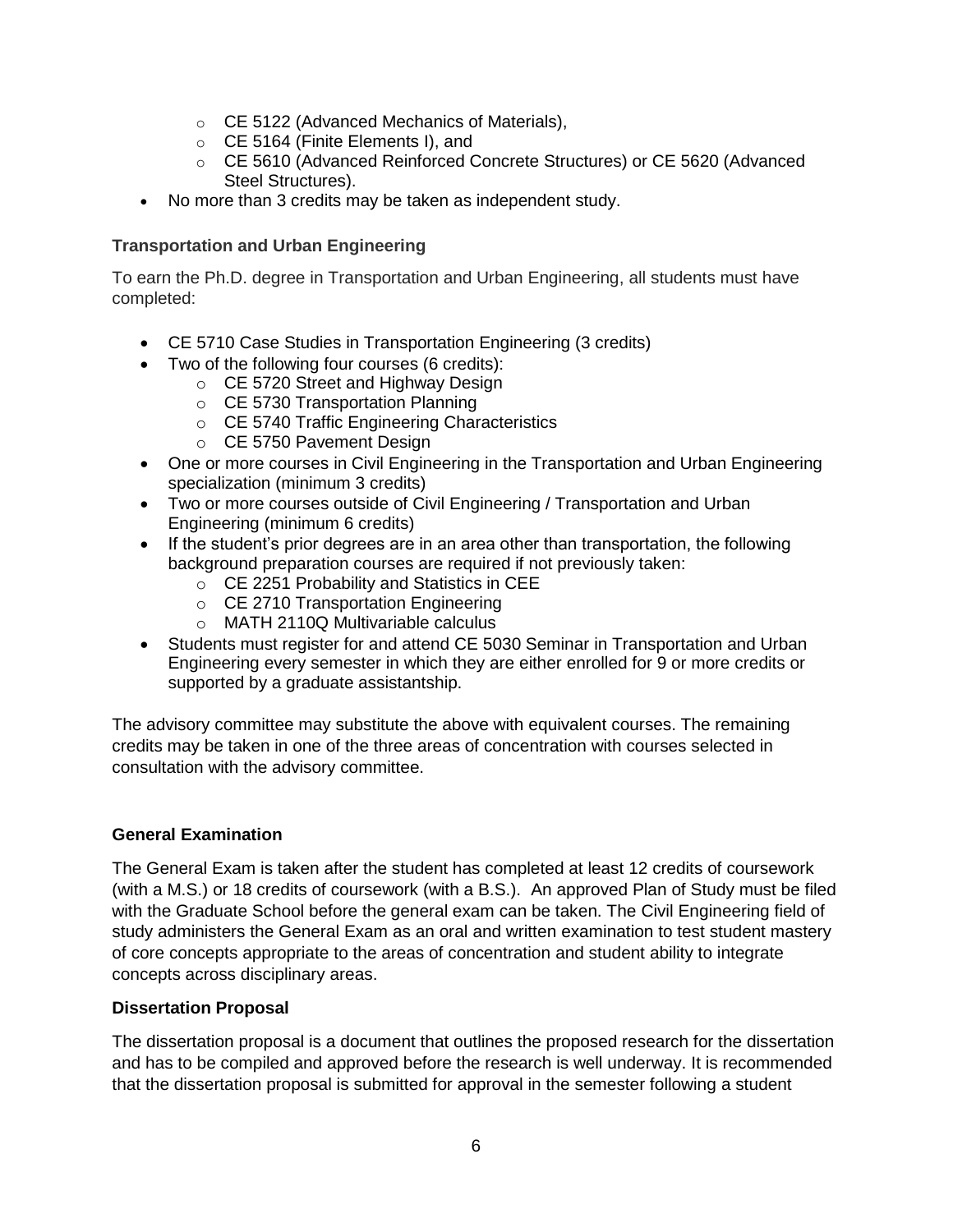- o CE 5122 (Advanced Mechanics of Materials),
- o CE 5164 (Finite Elements I), and
- o CE 5610 (Advanced Reinforced Concrete Structures) or CE 5620 (Advanced Steel Structures).
- No more than 3 credits may be taken as independent study.

## **Transportation and Urban Engineering**

To earn the Ph.D. degree in Transportation and Urban Engineering, all students must have completed:

- CE 5710 Case Studies in Transportation Engineering (3 credits)
- Two of the following four courses (6 credits):
	- o CE 5720 Street and Highway Design
	- o CE 5730 Transportation Planning
	- o CE 5740 Traffic Engineering Characteristics
	- o CE 5750 Pavement Design
- One or more courses in Civil Engineering in the Transportation and Urban Engineering specialization (minimum 3 credits)
- Two or more courses outside of Civil Engineering / Transportation and Urban Engineering (minimum 6 credits)
- If the student's prior degrees are in an area other than transportation, the following background preparation courses are required if not previously taken:
	- o CE 2251 Probability and Statistics in CEE
	- o CE 2710 Transportation Engineering
	- o MATH 2110Q Multivariable calculus
- Students must register for and attend CE 5030 Seminar in Transportation and Urban Engineering every semester in which they are either enrolled for 9 or more credits or supported by a graduate assistantship.

The advisory committee may substitute the above with equivalent courses. The remaining credits may be taken in one of the three areas of concentration with courses selected in consultation with the advisory committee.

#### **General Examination**

The General Exam is taken after the student has completed at least 12 credits of coursework (with a M.S.) or 18 credits of coursework (with a B.S.). An approved Plan of Study must be filed with the Graduate School before the general exam can be taken. The Civil Engineering field of study administers the General Exam as an oral and written examination to test student mastery of core concepts appropriate to the areas of concentration and student ability to integrate concepts across disciplinary areas.

#### **Dissertation Proposal**

The dissertation proposal is a document that outlines the proposed research for the dissertation and has to be compiled and approved before the research is well underway. It is recommended that the dissertation proposal is submitted for approval in the semester following a student